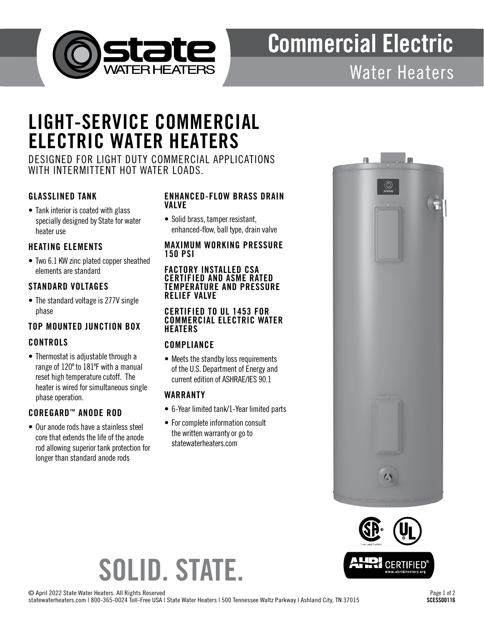

# Commercial Electric

### Water Heaters

## LIGHT-SERVICE COMMERCIAL ELECTRIC WATER HEATERS

DESIGNED FOR LIGHT DUTY COMMERCIAL APPLICATIONS WITH INTERMITTENT HOT WATER LOADS.

#### GLASSLINED TANK

• Tank interior is coated with glass specially designed by State for water heater use

#### HEATING ELEMENTS

• Two 6.1 KW zinc plated copper sheathed elements are standard

#### STANDARD VOLTAGES

• The standard voltage is 277V single phase

### TOP MOUNTED JUNCTION BOX

#### **CONTROLS**

• Thermostat is adjustable through a range of 120º to 181ºF with a manual reset high temperature cutoff. The heater is wired for simultaneous single phase operation.

#### COREGARD™ ANODE ROD

• Our anode rods have a stainless steel core that extends the life of the anode rod allowing superior tank protection for longer than standard anode rods

#### ENHANCED-FLOW BRASS DRAIN VALVE

• Solid brass, tamper resistant, enhanced-flow, ball type, drain valve

#### MAXIMUM WORKING PRESSURE 150 PSI

FACTORY INSTALLED CSA CERTIFIED AND ASME RATED TEMPERATURE AND PRESSURE RELIEF VALVE

#### CERTIFIED TO UL 1453 FOR COMMERCIAL ELECTRIC WATER **HEATERS**

#### COMPLIANCE

• Meets the standby loss requirements of the U.S. Department of Energy and current edition of ASHRAE/IES 90.1

#### WARRANTY

- 6-Year limited tank/1-Year limited parts
- For complete information consult the written warranty or go to statewaterheaters.com





## SOLID. STATE.